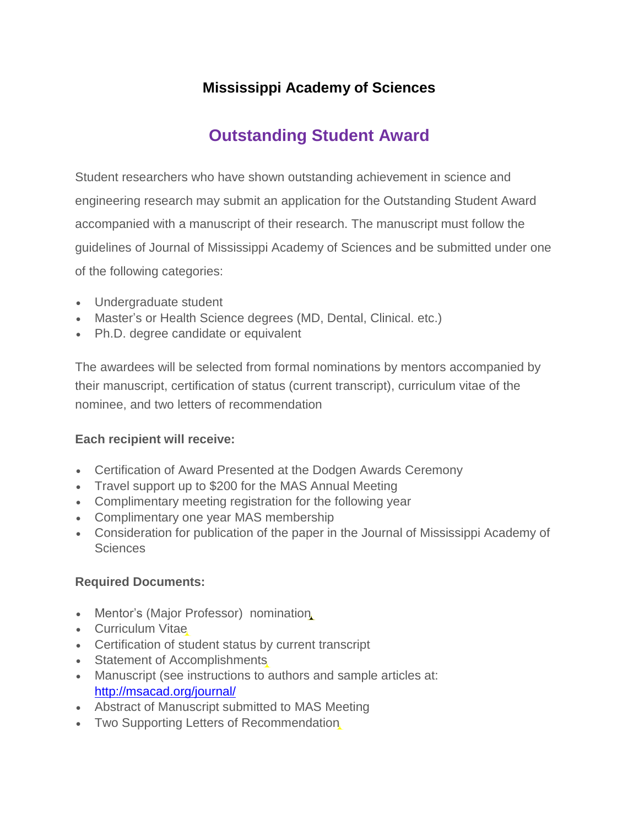# **Mississippi Academy of Sciences**

# **Outstanding Student Award**

Student researchers who have shown outstanding achievement in science and engineering research may submit an application for the Outstanding Student Award accompanied with a manuscript of their research. The manuscript must follow the guidelines of Journal of Mississippi Academy of Sciences and be submitted under one of the following categories:

- Undergraduate student
- Master's or Health Science degrees (MD, Dental, Clinical. etc.)
- Ph.D. degree candidate or equivalent

The awardees will be selected from formal nominations by mentors accompanied by their manuscript, certification of status (current transcript), curriculum vitae of the nominee, and two letters of recommendation

## **Each recipient will receive:**

- Certification of Award Presented at the Dodgen Awards Ceremony
- Travel support up to \$200 for the MAS Annual Meeting
- Complimentary meeting registration for the following year
- Complimentary one year MAS membership
- Consideration for publication of the paper in the Journal of Mississippi Academy of Sciences

#### **Required Documents:**

- Mentor's (Major Professor) nomination
- Curriculum Vitae
- Certification of student status by current transcript
- Statement of Accomplishments
- Manuscript (see instructions to authors and sample articles at: <http://msacad.org/journal/>
- Abstract of Manuscript submitted to MAS Meeting
- Two Supporting Letters of Recommendation